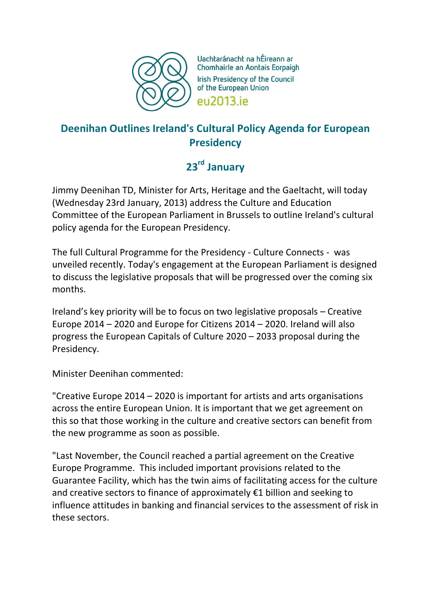

Uachtaránacht na hÉireann ar Chomhairle an Aontais Eorpaigh Irish Presidency of the Council of the European Union eu2013 je

## **Deenihan Outlines Ireland's Cultural Policy Agenda for European Presidency**

## **23rd January**

Jimmy Deenihan TD, Minister for Arts, Heritage and the Gaeltacht, will today (Wednesday 23rd January, 2013) address the Culture and Education Committee of the European Parliament in Brussels to outline Ireland's cultural policy agenda for the European Presidency.

The full Cultural Programme for the Presidency - Culture Connects - was unveiled recently. Today's engagement at the European Parliament is designed to discuss the legislative proposals that will be progressed over the coming six months.

Ireland's key priority will be to focus on two legislative proposals – Creative Europe 2014 – 2020 and Europe for Citizens 2014 – 2020. Ireland will also progress the European Capitals of Culture 2020 – 2033 proposal during the Presidency.

Minister Deenihan commented:

"Creative Europe 2014 – 2020 is important for artists and arts organisations across the entire European Union. It is important that we get agreement on this so that those working in the culture and creative sectors can benefit from the new programme as soon as possible.

"Last November, the Council reached a partial agreement on the Creative Europe Programme. This included important provisions related to the Guarantee Facility, which has the twin aims of facilitating access for the culture and creative sectors to finance of approximately €1 billion and seeking to influence attitudes in banking and financial services to the assessment of risk in these sectors.